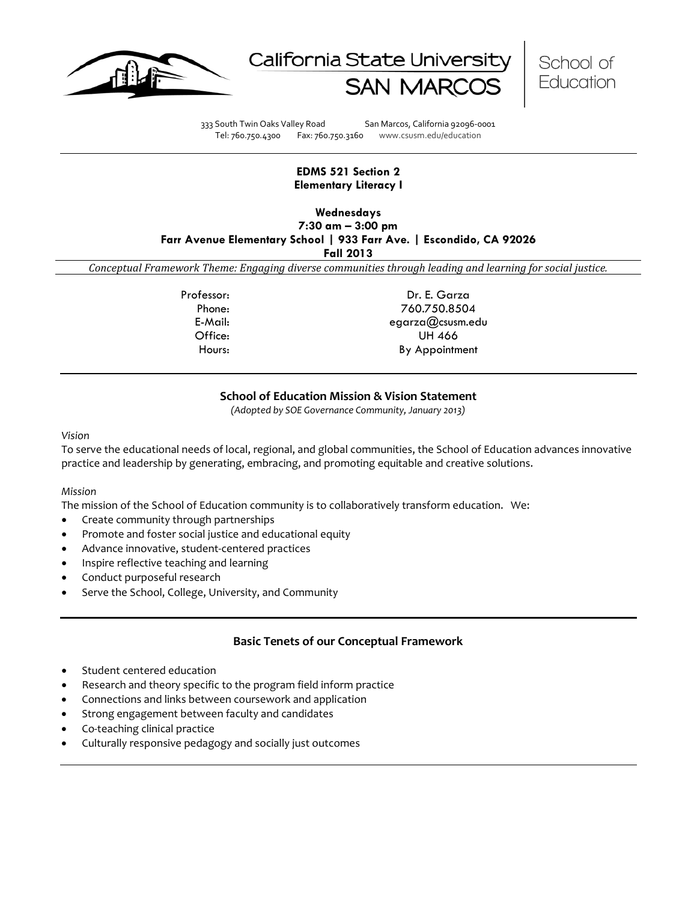





333 South Twin Oaks Valley Road San Marcos, California 92096-0001 Tel: 760.750.4300 Fax: 760.750.3160 www.csusm.edu/education

## **EDMS 521 Section 2 Elementary Literacy I**

**Wednesdays 7:30 am – 3:00 pm**

**Farr Avenue Elementary School | 933 Farr Ave. | Escondido, CA 92026**

**Fall 2013**

*Conceptual Framework Theme: Engaging diverse communities through leading and learning for social justice.*

Professor: Dr. E. Garza Phone: 760.750.8504 E-Mail: egarza@csusm.edu Office: UH 466 Hours: By Appointment

## **School of Education Mission & Vision Statement**

*(Adopted by SOE Governance Community, January 2013)*

*Vision*

To serve the educational needs of local, regional, and global communities, the School of Education advances innovative practice and leadership by generating, embracing, and promoting equitable and creative solutions.

## *Mission*

The mission of the School of Education community is to collaboratively transform education. We:

- Create community through partnerships
- Promote and foster social justice and educational equity
- Advance innovative, student-centered practices
- Inspire reflective teaching and learning
- Conduct purposeful research
- Serve the School, College, University, and Community

# **Basic Tenets of our Conceptual Framework**

- Student centered education
- Research and theory specific to the program field inform practice
- Connections and links between coursework and application
- Strong engagement between faculty and candidates
- Co-teaching clinical practice
- Culturally responsive pedagogy and socially just outcomes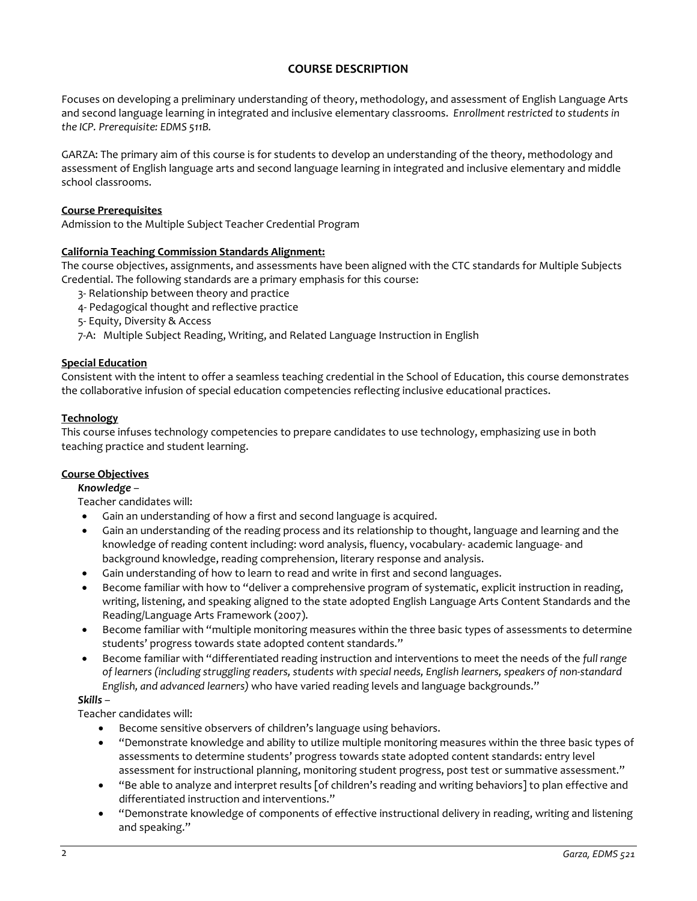# **COURSE DESCRIPTION**

Focuses on developing a preliminary understanding of theory, methodology, and assessment of English Language Arts and second language learning in integrated and inclusive elementary classrooms. *Enrollment restricted to students in the ICP. Prerequisite: EDMS 511B.* 

GARZA: The primary aim of this course is for students to develop an understanding of the theory, methodology and assessment of English language arts and second language learning in integrated and inclusive elementary and middle school classrooms.

## **Course Prerequisites**

Admission to the Multiple Subject Teacher Credential Program

## **California Teaching Commission Standards Alignment:**

The course objectives, assignments, and assessments have been aligned with the CTC standards for Multiple Subjects Credential. The following standards are a primary emphasis for this course:

- 3- Relationship between theory and practice
- 4- Pedagogical thought and reflective practice
- 5- Equity, Diversity & Access
- 7-A: Multiple Subject Reading, Writing, and Related Language Instruction in English

## **Special Education**

Consistent with the intent to offer a seamless teaching credential in the School of Education, this course demonstrates the collaborative infusion of special education competencies reflecting inclusive educational practices.

## **Technology**

This course infuses technology competencies to prepare candidates to use technology, emphasizing use in both teaching practice and student learning.

## **Course Objectives**

## *Knowledge* –

Teacher candidates will:

- Gain an understanding of how a first and second language is acquired.
- Gain an understanding of the reading process and its relationship to thought, language and learning and the knowledge of reading content including: word analysis, fluency, vocabulary- academic language- and background knowledge, reading comprehension, literary response and analysis.
- Gain understanding of how to learn to read and write in first and second languages.
- Become familiar with how to "deliver a comprehensive program of systematic, explicit instruction in reading, writing, listening, and speaking aligned to the state adopted English Language Arts Content Standards and the Reading/Language Arts Framework (2007).
- Become familiar with "multiple monitoring measures within the three basic types of assessments to determine students' progress towards state adopted content standards."
- Become familiar with "differentiated reading instruction and interventions to meet the needs of the *full range of learners (including struggling readers, students with special needs, English learners, speakers of non-standard English, and advanced learners)* who have varied reading levels and language backgrounds."

## *Skills* –

Teacher candidates will:

- Become sensitive observers of children's language using behaviors.
- "Demonstrate knowledge and ability to utilize multiple monitoring measures within the three basic types of assessments to determine students' progress towards state adopted content standards: entry level assessment for instructional planning, monitoring student progress, post test or summative assessment."
- "Be able to analyze and interpret results [of children's reading and writing behaviors] to plan effective and differentiated instruction and interventions."
- "Demonstrate knowledge of components of effective instructional delivery in reading, writing and listening and speaking."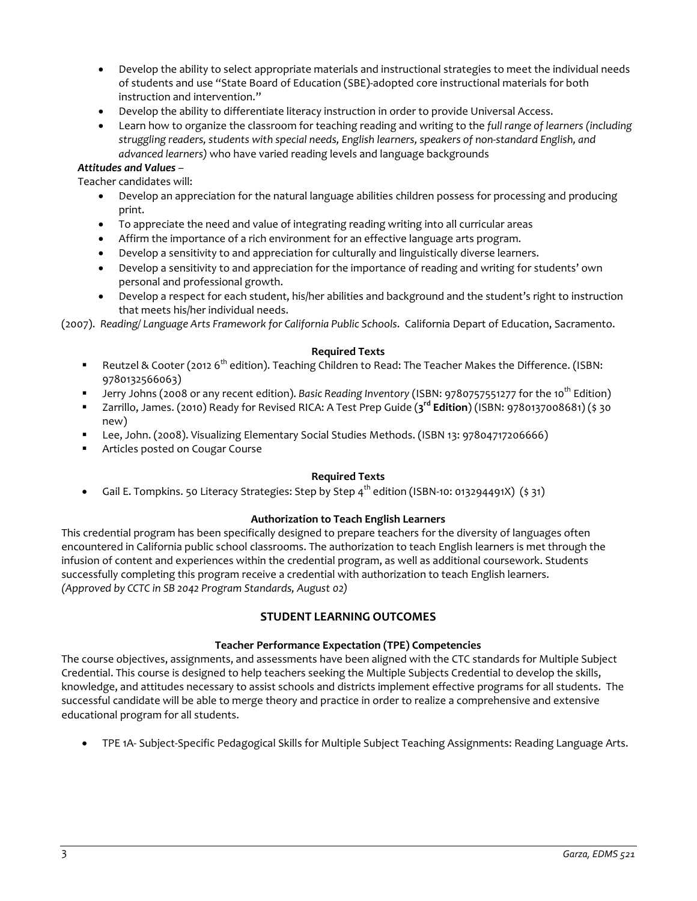- Develop the ability to select appropriate materials and instructional strategies to meet the individual needs of students and use "State Board of Education (SBE)-adopted core instructional materials for both instruction and intervention."
- Develop the ability to differentiate literacy instruction in order to provide Universal Access.
- Learn how to organize the classroom for teaching reading and writing to the *full range of learners (including struggling readers, students with special needs, English learners, speakers of non-standard English, and advanced learners)* who have varied reading levels and language backgrounds

# *Attitudes and Values* –

Teacher candidates will:

- Develop an appreciation for the natural language abilities children possess for processing and producing print.
- To appreciate the need and value of integrating reading writing into all curricular areas
- Affirm the importance of a rich environment for an effective language arts program.
- Develop a sensitivity to and appreciation for culturally and linguistically diverse learners.
- Develop a sensitivity to and appreciation for the importance of reading and writing for students' own personal and professional growth.
- Develop a respect for each student, his/her abilities and background and the student's right to instruction that meets his/her individual needs.

(2007). *Reading/ Language Arts Framework for California Public Schools*. California Depart of Education, Sacramento.

#### **Required Texts**

- Reutzel & Cooter (2012 6<sup>th</sup> edition). Teaching Children to Read: The Teacher Makes the Difference. (ISBN: 9780132566063)
- Jerry Johns (2008 or any recent edition). *Basic Reading Inventory* (ISBN: 9780757551277 for the 10th Edition)
- Zarrillo, James. (2010) Ready for Revised RICA: A Test Prep Guide (**3rd Edition**) (ISBN: 9780137008681) (\$ 30 new)
- Lee, John. (2008). Visualizing Elementary Social Studies Methods. (ISBN 13: 97804717206666)
- Articles posted on Cougar Course

## **Required Texts**

• Gail E. Tompkins. 50 Literacy Strategies: Step by Step  $4^{th}$  edition (ISBN-10: 013294491X) (\$ 31)

## **Authorization to Teach English Learners**

This credential program has been specifically designed to prepare teachers for the diversity of languages often encountered in California public school classrooms. The authorization to teach English learners is met through the infusion of content and experiences within the credential program, as well as additional coursework. Students successfully completing this program receive a credential with authorization to teach English learners. *(Approved by CCTC in SB 2042 Program Standards, August 02)*

# **STUDENT LEARNING OUTCOMES**

## **Teacher Performance Expectation (TPE) Competencies**

The course objectives, assignments, and assessments have been aligned with the CTC standards for Multiple Subject Credential. This course is designed to help teachers seeking the Multiple Subjects Credential to develop the skills, knowledge, and attitudes necessary to assist schools and districts implement effective programs for all students. The successful candidate will be able to merge theory and practice in order to realize a comprehensive and extensive educational program for all students.

• TPE 1A- Subject-Specific Pedagogical Skills for Multiple Subject Teaching Assignments: Reading Language Arts.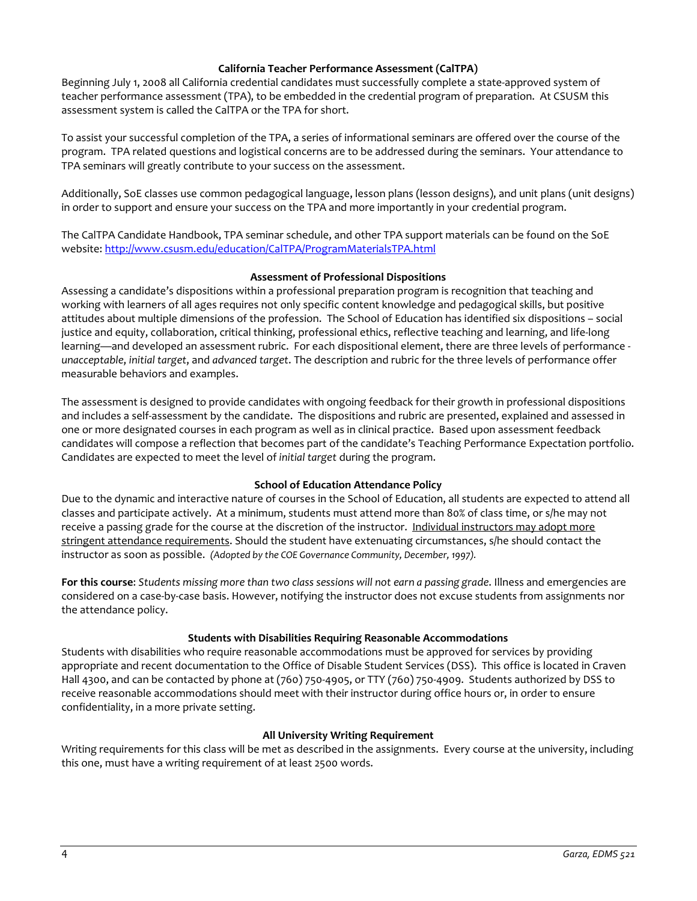## **California Teacher Performance Assessment (CalTPA)**

Beginning July 1, 2008 all California credential candidates must successfully complete a state-approved system of teacher performance assessment (TPA), to be embedded in the credential program of preparation. At CSUSM this assessment system is called the CalTPA or the TPA for short.

To assist your successful completion of the TPA, a series of informational seminars are offered over the course of the program. TPA related questions and logistical concerns are to be addressed during the seminars. Your attendance to TPA seminars will greatly contribute to your success on the assessment.

Additionally, SoE classes use common pedagogical language, lesson plans (lesson designs), and unit plans (unit designs) in order to support and ensure your success on the TPA and more importantly in your credential program.

The CalTPA Candidate Handbook, TPA seminar schedule, and other TPA support materials can be found on the SoE website:<http://www.csusm.edu/education/CalTPA/ProgramMaterialsTPA.html>

## **Assessment of Professional Dispositions**

Assessing a candidate's dispositions within a professional preparation program is recognition that teaching and working with learners of all ages requires not only specific content knowledge and pedagogical skills, but positive attitudes about multiple dimensions of the profession. The School of Education has identified six dispositions – social justice and equity, collaboration, critical thinking, professional ethics, reflective teaching and learning, and life-long learning—and developed an assessment rubric. For each dispositional element, there are three levels of performance *unacceptable*, *initial target*, and *advanced target*. The description and rubric for the three levels of performance offer measurable behaviors and examples.

The assessment is designed to provide candidates with ongoing feedback for their growth in professional dispositions and includes a self-assessment by the candidate. The dispositions and rubric are presented, explained and assessed in one or more designated courses in each program as well as in clinical practice. Based upon assessment feedback candidates will compose a reflection that becomes part of the candidate's Teaching Performance Expectation portfolio. Candidates are expected to meet the level of *initial target* during the program.

## **School of Education Attendance Policy**

Due to the dynamic and interactive nature of courses in the School of Education, all students are expected to attend all classes and participate actively. At a minimum, students must attend more than 80% of class time, or s/he may not receive a passing grade for the course at the discretion of the instructor. Individual instructors may adopt more stringent attendance requirements. Should the student have extenuating circumstances, s/he should contact the instructor as soon as possible. *(Adopted by the COE Governance Community, December, 1997).*

**For this course**: *Students missing more than two class sessions will not earn a passing grade*. Illness and emergencies are considered on a case-by-case basis. However, notifying the instructor does not excuse students from assignments nor the attendance policy.

## **Students with Disabilities Requiring Reasonable Accommodations**

Students with disabilities who require reasonable accommodations must be approved for services by providing appropriate and recent documentation to the Office of Disable Student Services (DSS). This office is located in Craven Hall 4300, and can be contacted by phone at (760) 750-4905, or TTY (760) 750-4909. Students authorized by DSS to receive reasonable accommodations should meet with their instructor during office hours or, in order to ensure confidentiality, in a more private setting.

## **All University Writing Requirement**

Writing requirements for this class will be met as described in the assignments. Every course at the university, including this one, must have a writing requirement of at least 2500 words.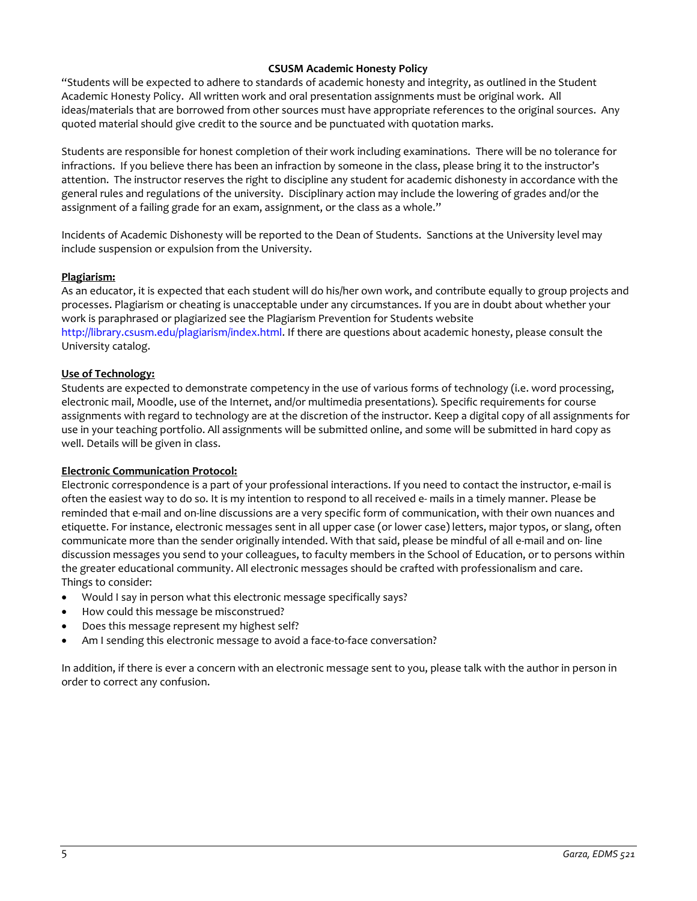## **CSUSM Academic Honesty Policy**

"Students will be expected to adhere to standards of academic honesty and integrity, as outlined in the Student Academic Honesty Policy. All written work and oral presentation assignments must be original work. All ideas/materials that are borrowed from other sources must have appropriate references to the original sources. Any quoted material should give credit to the source and be punctuated with quotation marks.

Students are responsible for honest completion of their work including examinations. There will be no tolerance for infractions. If you believe there has been an infraction by someone in the class, please bring it to the instructor's attention. The instructor reserves the right to discipline any student for academic dishonesty in accordance with the general rules and regulations of the university. Disciplinary action may include the lowering of grades and/or the assignment of a failing grade for an exam, assignment, or the class as a whole."

Incidents of Academic Dishonesty will be reported to the Dean of Students. Sanctions at the University level may include suspension or expulsion from the University.

## **Plagiarism:**

As an educator, it is expected that each student will do his/her own work, and contribute equally to group projects and processes. Plagiarism or cheating is unacceptable under any circumstances. If you are in doubt about whether your work is paraphrased or plagiarized see the Plagiarism Prevention for Students website http://library.csusm.edu/plagiarism/index.html. If there are questions about academic honesty, please consult the University catalog.

## **Use of Technology:**

Students are expected to demonstrate competency in the use of various forms of technology (i.e. word processing, electronic mail, Moodle, use of the Internet, and/or multimedia presentations). Specific requirements for course assignments with regard to technology are at the discretion of the instructor. Keep a digital copy of all assignments for use in your teaching portfolio. All assignments will be submitted online, and some will be submitted in hard copy as well. Details will be given in class.

## **Electronic Communication Protocol:**

Electronic correspondence is a part of your professional interactions. If you need to contact the instructor, e-mail is often the easiest way to do so. It is my intention to respond to all received e- mails in a timely manner. Please be reminded that e-mail and on-line discussions are a very specific form of communication, with their own nuances and etiquette. For instance, electronic messages sent in all upper case (or lower case) letters, major typos, or slang, often communicate more than the sender originally intended. With that said, please be mindful of all e-mail and on- line discussion messages you send to your colleagues, to faculty members in the School of Education, or to persons within the greater educational community. All electronic messages should be crafted with professionalism and care. Things to consider:

- Would I say in person what this electronic message specifically says?
- How could this message be misconstrued?
- Does this message represent my highest self?
- Am I sending this electronic message to avoid a face-to-face conversation?

In addition, if there is ever a concern with an electronic message sent to you, please talk with the author in person in order to correct any confusion.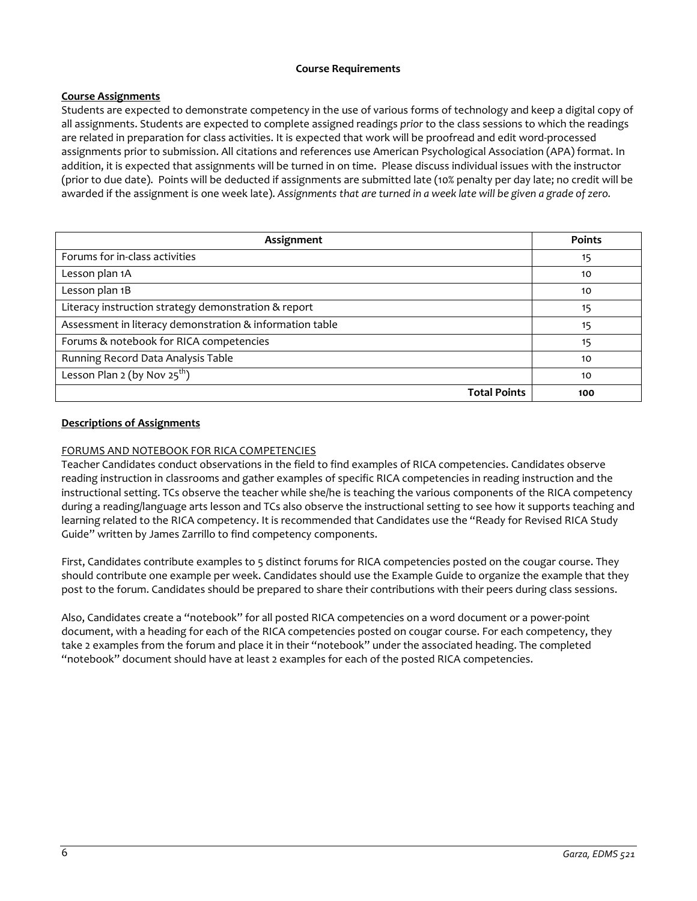## **Course Requirements**

# **Course Assignments**

Students are expected to demonstrate competency in the use of various forms of technology and keep a digital copy of all assignments. Students are expected to complete assigned readings *prior* to the class sessions to which the readings are related in preparation for class activities. It is expected that work will be proofread and edit word-processed assignments prior to submission. All citations and references use American Psychological Association (APA) format. In addition, it is expected that assignments will be turned in on time. Please discuss individual issues with the instructor (prior to due date). Points will be deducted if assignments are submitted late (10% penalty per day late; no credit will be awarded if the assignment is one week late). *Assignments that are turned in a week late will be given a grade of zero.*

| Assignment                                               | <b>Points</b> |
|----------------------------------------------------------|---------------|
| Forums for in-class activities                           | 15            |
| Lesson plan 1A                                           | 10            |
| Lesson plan 1B                                           | 10            |
| Literacy instruction strategy demonstration & report     | 15            |
| Assessment in literacy demonstration & information table | 15            |
| Forums & notebook for RICA competencies                  | 15            |
| Running Record Data Analysis Table                       | 10            |
| Lesson Plan 2 (by Nov $25^{th}$ )                        | 10            |
| <b>Total Points</b>                                      | 100           |

# **Descriptions of Assignments**

# FORUMS AND NOTEBOOK FOR RICA COMPETENCIES

Teacher Candidates conduct observations in the field to find examples of RICA competencies. Candidates observe reading instruction in classrooms and gather examples of specific RICA competencies in reading instruction and the instructional setting. TCs observe the teacher while she/he is teaching the various components of the RICA competency during a reading/language arts lesson and TCs also observe the instructional setting to see how it supports teaching and learning related to the RICA competency. It is recommended that Candidates use the "Ready for Revised RICA Study Guide" written by James Zarrillo to find competency components.

First, Candidates contribute examples to 5 distinct forums for RICA competencies posted on the cougar course. They should contribute one example per week. Candidates should use the Example Guide to organize the example that they post to the forum. Candidates should be prepared to share their contributions with their peers during class sessions.

Also, Candidates create a "notebook" for all posted RICA competencies on a word document or a power-point document, with a heading for each of the RICA competencies posted on cougar course. For each competency, they take 2 examples from the forum and place it in their "notebook" under the associated heading. The completed "notebook" document should have at least 2 examples for each of the posted RICA competencies.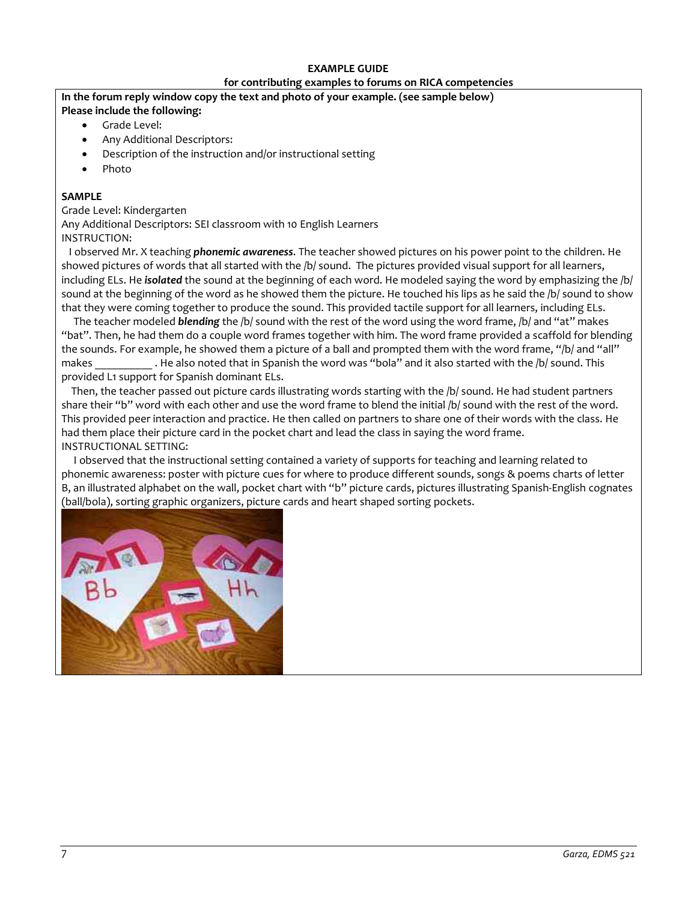## **EXAMPLE GUIDE**

# **for contributing examples to forums on RICA competencies**

# **In the forum reply window copy the text and photo of your example. (see sample below)**

- **Please include the following:**
	- Grade Level:
	- Any Additional Descriptors:
	- Description of the instruction and/or instructional setting
	- Photo

# **SAMPLE**

Grade Level: Kindergarten Any Additional Descriptors: SEI classroom with 10 English Learners INSTRUCTION:

 I observed Mr. X teaching *phonemic awareness*. The teacher showed pictures on his power point to the children. He showed pictures of words that all started with the /b/ sound. The pictures provided visual support for all learners, including ELs. He *isolated* the sound at the beginning of each word. He modeled saying the word by emphasizing the /b/ sound at the beginning of the word as he showed them the picture. He touched his lips as he said the /b/ sound to show that they were coming together to produce the sound. This provided tactile support for all learners, including ELs.

 The teacher modeled *blending* the /b/ sound with the rest of the word using the word frame, /b/ and "at" makes "bat". Then, he had them do a couple word frames together with him. The word frame provided a scaffold for blending the sounds. For example, he showed them a picture of a ball and prompted them with the word frame, "/b/ and "all" makes . He also noted that in Spanish the word was "bola" and it also started with the /b/ sound. This provided L1 support for Spanish dominant ELs.

Then, the teacher passed out picture cards illustrating words starting with the /b/ sound. He had student partners share their "b" word with each other and use the word frame to blend the initial /b/ sound with the rest of the word. This provided peer interaction and practice. He then called on partners to share one of their words with the class. He had them place their picture card in the pocket chart and lead the class in saying the word frame. INSTRUCTIONAL SETTING:

 I observed that the instructional setting contained a variety of supports for teaching and learning related to phonemic awareness: poster with picture cues for where to produce different sounds, songs & poems charts of letter B, an illustrated alphabet on the wall, pocket chart with "b" picture cards, pictures illustrating Spanish-English cognates (ball/bola), sorting graphic organizers, picture cards and heart shaped sorting pockets.

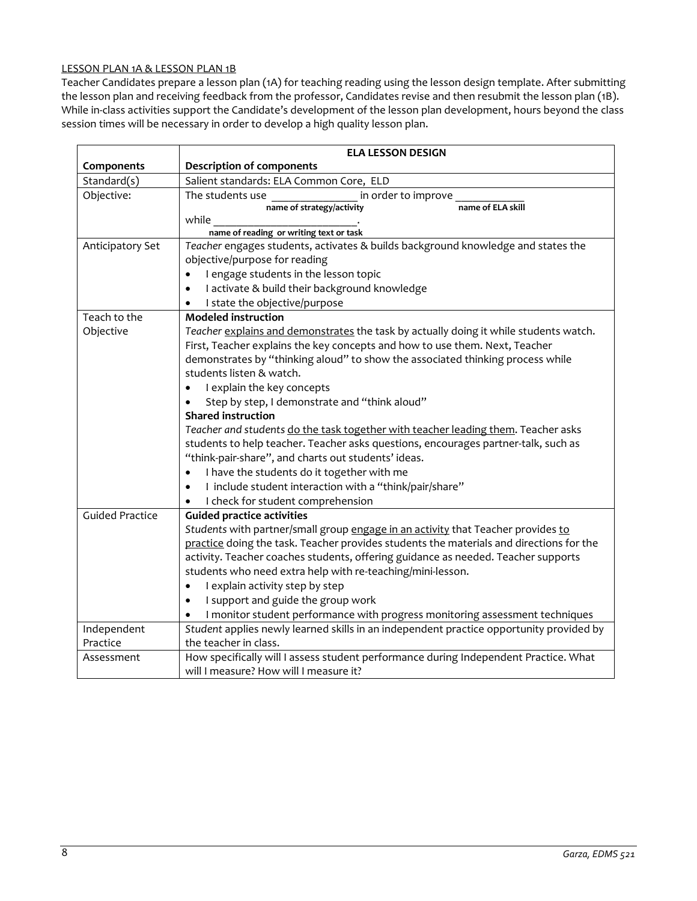## LESSON PLAN 1A & LESSON PLAN 1B

Teacher Candidates prepare a lesson plan (1A) for teaching reading using the lesson design template. After submitting the lesson plan and receiving feedback from the professor, Candidates revise and then resubmit the lesson plan (1B). While in-class activities support the Candidate's development of the lesson plan development, hours beyond the class session times will be necessary in order to develop a high quality lesson plan.

|                        | <b>ELA LESSON DESIGN</b>                                                                |  |  |  |
|------------------------|-----------------------------------------------------------------------------------------|--|--|--|
| Components             | <b>Description of components</b>                                                        |  |  |  |
| Standard(s)            | Salient standards: ELA Common Core, ELD                                                 |  |  |  |
| Objective:             | The students use<br>in order to improve                                                 |  |  |  |
|                        | name of ELA skill<br>name of strategy/activity                                          |  |  |  |
|                        | while                                                                                   |  |  |  |
|                        | name of reading or writing text or task                                                 |  |  |  |
| Anticipatory Set       | Teacher engages students, activates & builds background knowledge and states the        |  |  |  |
|                        | objective/purpose for reading                                                           |  |  |  |
|                        | I engage students in the lesson topic<br>$\bullet$                                      |  |  |  |
|                        | I activate & build their background knowledge<br>٠                                      |  |  |  |
|                        | I state the objective/purpose                                                           |  |  |  |
| Teach to the           | <b>Modeled instruction</b>                                                              |  |  |  |
| Objective              | Teacher explains and demonstrates the task by actually doing it while students watch.   |  |  |  |
|                        | First, Teacher explains the key concepts and how to use them. Next, Teacher             |  |  |  |
|                        | demonstrates by "thinking aloud" to show the associated thinking process while          |  |  |  |
|                        | students listen & watch.                                                                |  |  |  |
|                        | I explain the key concepts<br>$\bullet$                                                 |  |  |  |
|                        | Step by step, I demonstrate and "think aloud"                                           |  |  |  |
|                        | <b>Shared instruction</b>                                                               |  |  |  |
|                        | Teacher and students do the task together with teacher leading them. Teacher asks       |  |  |  |
|                        | students to help teacher. Teacher asks questions, encourages partner-talk, such as      |  |  |  |
|                        | "think-pair-share", and charts out students' ideas.                                     |  |  |  |
|                        | I have the students do it together with me<br>$\bullet$                                 |  |  |  |
|                        | I include student interaction with a "think/pair/share"                                 |  |  |  |
|                        | I check for student comprehension                                                       |  |  |  |
| <b>Guided Practice</b> | <b>Guided practice activities</b>                                                       |  |  |  |
|                        | Students with partner/small group engage in an activity that Teacher provides to        |  |  |  |
|                        | practice doing the task. Teacher provides students the materials and directions for the |  |  |  |
|                        | activity. Teacher coaches students, offering guidance as needed. Teacher supports       |  |  |  |
|                        | students who need extra help with re-teaching/mini-lesson.                              |  |  |  |
|                        | I explain activity step by step<br>$\bullet$                                            |  |  |  |
|                        | I support and guide the group work<br>$\bullet$                                         |  |  |  |
|                        | I monitor student performance with progress monitoring assessment techniques            |  |  |  |
| Independent            | Student applies newly learned skills in an independent practice opportunity provided by |  |  |  |
| Practice               | the teacher in class.                                                                   |  |  |  |
| Assessment             | How specifically will I assess student performance during Independent Practice. What    |  |  |  |
|                        | will I measure? How will I measure it?                                                  |  |  |  |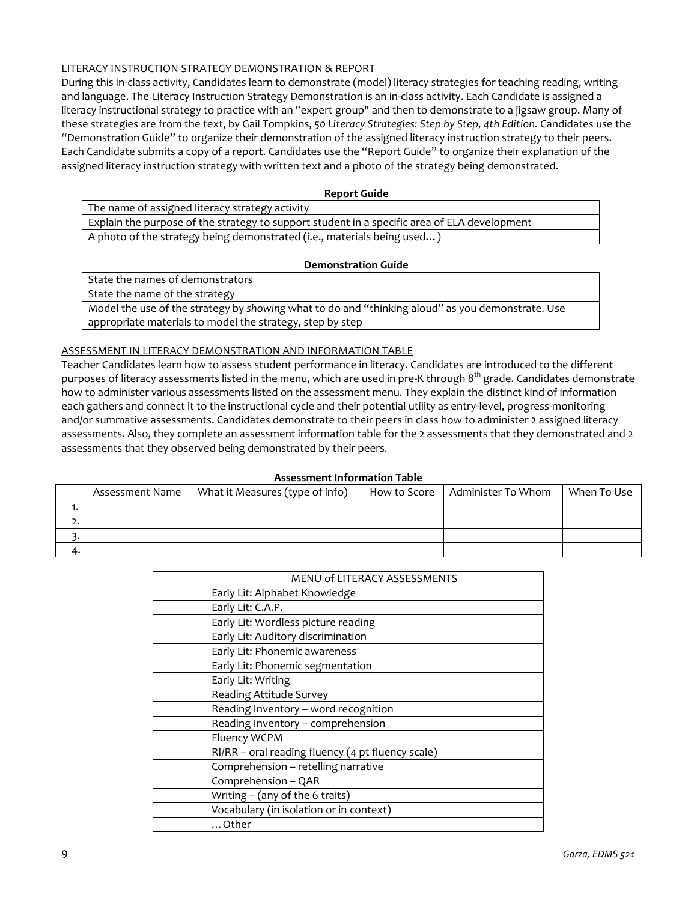## LITERACY INSTRUCTION STRATEGY DEMONSTRATION & REPORT

During this in-class activity, Candidates learn to demonstrate (model) literacy strategies for teaching reading, writing and language. The Literacy Instruction Strategy Demonstration is an in-class activity. Each Candidate is assigned a literacy instructional strategy to practice with an "expert group" and then to demonstrate to a jigsaw group. Many of these strategies are from the text, by Gail Tompkins, *50 Literacy Strategies: Step by Step, 4th Edition.* Candidates use the "Demonstration Guide" to organize their demonstration of the assigned literacy instruction strategy to their peers. Each Candidate submits a copy of a report. Candidates use the "Report Guide" to organize their explanation of the assigned literacy instruction strategy with written text and a photo of the strategy being demonstrated.

### **Report Guide**

The name of assigned literacy strategy activity

Explain the purpose of the strategy to support student in a specific area of ELA development A photo of the strategy being demonstrated (i.e., materials being used…)

## **Demonstration Guide**

State the names of demonstrators

State the name of the strategy

Model the use of the strategy by *showing* what to do and "thinking aloud" as you demonstrate. Use appropriate materials to model the strategy, step by step

## ASSESSMENT IN LITERACY DEMONSTRATION AND INFORMATION TABLE

Teacher Candidates learn how to assess student performance in literacy. Candidates are introduced to the different purposes of literacy assessments listed in the menu, which are used in pre-K through 8<sup>th</sup> grade. Candidates demonstrate how to administer various assessments listed on the assessment menu. They explain the distinct kind of information each gathers and connect it to the instructional cycle and their potential utility as entry-level, progress-monitoring and/or summative assessments. Candidates demonstrate to their peers in class how to administer 2 assigned literacy assessments. Also, they complete an assessment information table for the 2 assessments that they demonstrated and 2 assessments that they observed being demonstrated by their peers.

|    | Assessment Name   What it Measures (type of info) | How to Score   Administer To Whom | When To Use |
|----|---------------------------------------------------|-----------------------------------|-------------|
|    |                                                   |                                   |             |
| ـ. |                                                   |                                   |             |
|    |                                                   |                                   |             |
|    |                                                   |                                   |             |

| <b>Assessment Information Table</b> |              |  |  |
|-------------------------------------|--------------|--|--|
| ures (type of info)                 | How to Score |  |  |
|                                     |              |  |  |

| MENU of LITERACY ASSESSMENTS                      |
|---------------------------------------------------|
| Early Lit: Alphabet Knowledge                     |
| Early Lit: C.A.P.                                 |
| Early Lit: Wordless picture reading               |
| Early Lit: Auditory discrimination                |
| Early Lit: Phonemic awareness                     |
| Early Lit: Phonemic segmentation                  |
| Early Lit: Writing                                |
| Reading Attitude Survey                           |
| Reading Inventory - word recognition              |
| Reading Inventory - comprehension                 |
| Fluency WCPM                                      |
| RI/RR - oral reading fluency (4 pt fluency scale) |
| Comprehension - retelling narrative               |
| Comprehension - QAR                               |
| Writing - (any of the 6 traits)                   |
| Vocabulary (in isolation or in context)           |
| $\dots$ Other                                     |
|                                                   |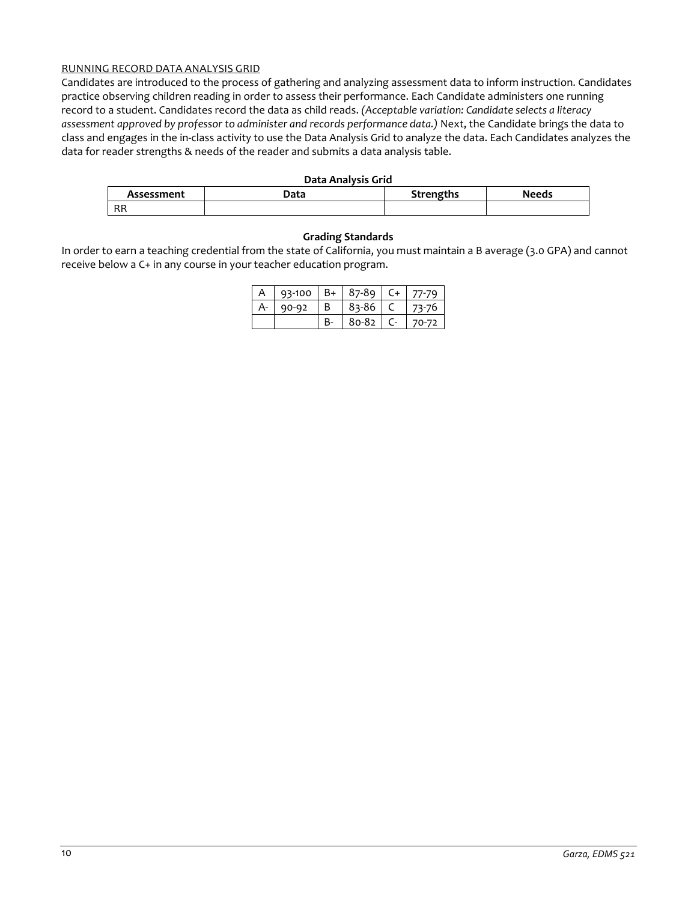## RUNNING RECORD DATA ANALYSIS GRID

Candidates are introduced to the process of gathering and analyzing assessment data to inform instruction. Candidates practice observing children reading in order to assess their performance. Each Candidate administers one running record to a student. Candidates record the data as child reads. *(Acceptable variation: Candidate selects a literacy assessment approved by professor to administer and records performance data.)* Next, the Candidate brings the data to class and engages in the in-class activity to use the Data Analysis Grid to analyze the data. Each Candidates analyzes the data for reader strengths & needs of the reader and submits a data analysis table.

#### **Data Analysis Grid**

| Assessment | Data | Strengths | <b>Needs</b> |
|------------|------|-----------|--------------|
| D D<br>nn  |      |           |              |

## **Grading Standards**

In order to earn a teaching credential from the state of California, you must maintain a B average (3.0 GPA) and cannot receive below a C+ in any course in your teacher education program.

|  | 93-100 | $R_{+}$ | 87-89 |       |
|--|--------|---------|-------|-------|
|  | ده-۵۵  | R       | 83-86 |       |
|  |        |         | 80-82 | 70-72 |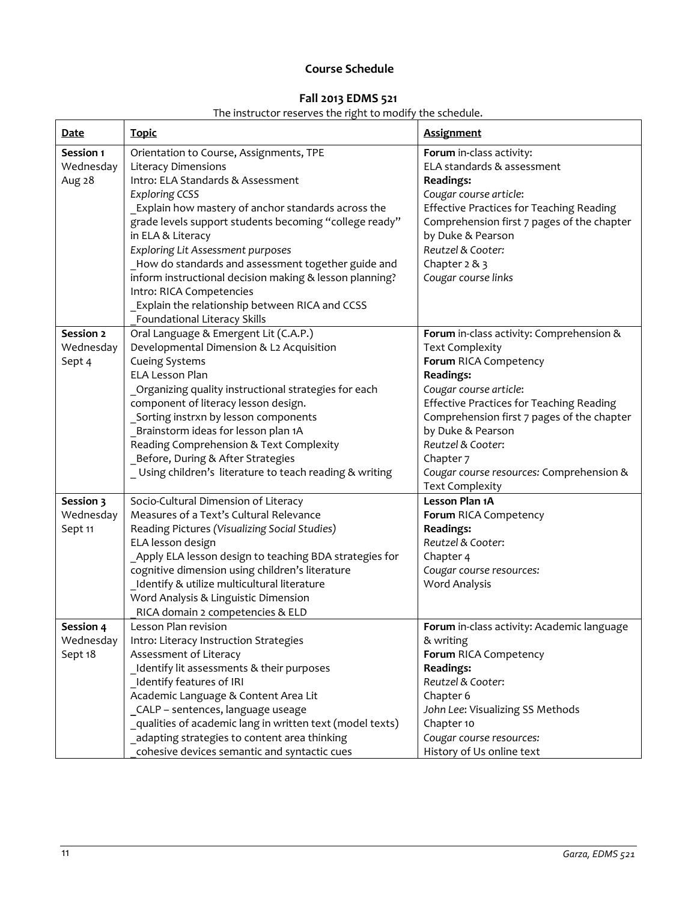# **Course Schedule**

# **Fall 2013 EDMS 521**

# The instructor reserves the right to modify the schedule.

| <b>Date</b>                      | <b>Topic</b>                                                                                                                                                                                                                                                                                                                                                                                                                                                                                                                                         | <b>Assignment</b>                                                                                                                                                                                                                                                                                                           |
|----------------------------------|------------------------------------------------------------------------------------------------------------------------------------------------------------------------------------------------------------------------------------------------------------------------------------------------------------------------------------------------------------------------------------------------------------------------------------------------------------------------------------------------------------------------------------------------------|-----------------------------------------------------------------------------------------------------------------------------------------------------------------------------------------------------------------------------------------------------------------------------------------------------------------------------|
| Session 1<br>Wednesday<br>Aug 28 | Orientation to Course, Assignments, TPE<br><b>Literacy Dimensions</b><br>Intro: ELA Standards & Assessment<br><b>Exploring CCSS</b><br>_Explain how mastery of anchor standards across the<br>grade levels support students becoming "college ready"<br>in ELA & Literacy<br><b>Exploring Lit Assessment purposes</b><br>How do standards and assessment together guide and<br>inform instructional decision making & lesson planning?<br>Intro: RICA Competencies<br>Explain the relationship between RICA and CCSS<br>Foundational Literacy Skills | Forum in-class activity:<br>ELA standards & assessment<br><b>Readings:</b><br>Cougar course article:<br><b>Effective Practices for Teaching Reading</b><br>Comprehension first 7 pages of the chapter<br>by Duke & Pearson<br>Reutzel & Cooter:<br>Chapter $2 & 3$<br>Cougar course links                                   |
| Session 2                        | Oral Language & Emergent Lit (C.A.P.)                                                                                                                                                                                                                                                                                                                                                                                                                                                                                                                | Forum in-class activity: Comprehension &                                                                                                                                                                                                                                                                                    |
| Wednesday<br>Sept 4              | Developmental Dimension & L2 Acquisition<br><b>Cueing Systems</b><br><b>ELA Lesson Plan</b><br>Organizing quality instructional strategies for each<br>component of literacy lesson design.<br>Sorting instrxn by lesson components<br>Brainstorm ideas for lesson plan 1A<br>Reading Comprehension & Text Complexity<br>Before, During & After Strategies<br>_Using children's literature to teach reading & writing                                                                                                                                | <b>Text Complexity</b><br>Forum RICA Competency<br><b>Readings:</b><br>Cougar course article:<br><b>Effective Practices for Teaching Reading</b><br>Comprehension first 7 pages of the chapter<br>by Duke & Pearson<br>Reutzel & Cooter:<br>Chapter 7<br>Cougar course resources: Comprehension &<br><b>Text Complexity</b> |
| Session 3                        | Socio-Cultural Dimension of Literacy                                                                                                                                                                                                                                                                                                                                                                                                                                                                                                                 | Lesson Plan 1A                                                                                                                                                                                                                                                                                                              |
| Wednesday<br>Sept 11             | Measures of a Text's Cultural Relevance<br>Reading Pictures (Visualizing Social Studies)<br>ELA lesson design<br>Apply ELA lesson design to teaching BDA strategies for<br>cognitive dimension using children's literature<br>Identify & utilize multicultural literature<br>Word Analysis & Linguistic Dimension<br>RICA domain 2 competencies & ELD                                                                                                                                                                                                | Forum RICA Competency<br><b>Readings:</b><br>Reutzel & Cooter:<br>Chapter 4<br>Cougar course resources:<br><b>Word Analysis</b>                                                                                                                                                                                             |
| Session 4                        | esson Plan revision                                                                                                                                                                                                                                                                                                                                                                                                                                                                                                                                  | Forum in-class activity: Academic language                                                                                                                                                                                                                                                                                  |
| Wednesday<br>Sept 18             | Intro: Literacy Instruction Strategies<br>Assessment of Literacy                                                                                                                                                                                                                                                                                                                                                                                                                                                                                     | & writing<br>Forum RICA Competency                                                                                                                                                                                                                                                                                          |
|                                  | Identify lit assessments & their purposes<br>Identify features of IRI<br>Academic Language & Content Area Lit<br>_CALP - sentences, language useage<br>_qualities of academic lang in written text (model texts)<br>adapting strategies to content area thinking<br>cohesive devices semantic and syntactic cues                                                                                                                                                                                                                                     | <b>Readings:</b><br>Reutzel & Cooter:<br>Chapter 6<br>John Lee: Visualizing SS Methods<br>Chapter 10<br>Cougar course resources:<br>History of Us online text                                                                                                                                                               |